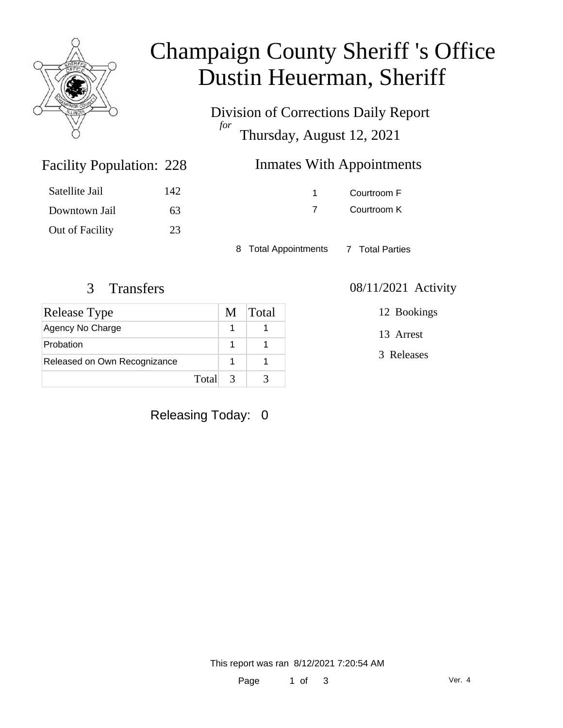

### Champaign County Sheriff 's Office Dustin Heuerman, Sheriff

Division of Corrections Daily Report *for* Thursday, August 12, 2021

| 228 | <b>Inmates With Appointments</b> |
|-----|----------------------------------|
|     |                                  |

| Satellite Jail  | 142 |
|-----------------|-----|
| Downtown Jail   | 63  |
| Out of Facility | 23  |

Facility Population: 228

1 Courtroom F 7 Courtroom K

8 Total Appointments 7 Total Parties

### 3 Transfers 08/11/2021 Activity

| Release Type                 | M | Total |
|------------------------------|---|-------|
| Agency No Charge             |   |       |
| Probation                    |   |       |
| Released on Own Recognizance |   |       |
| Total                        | 3 |       |

### Releasing Today: 0

12 Bookings

13 Arrest

3 Releases

This report was ran 8/12/2021 7:20:54 AM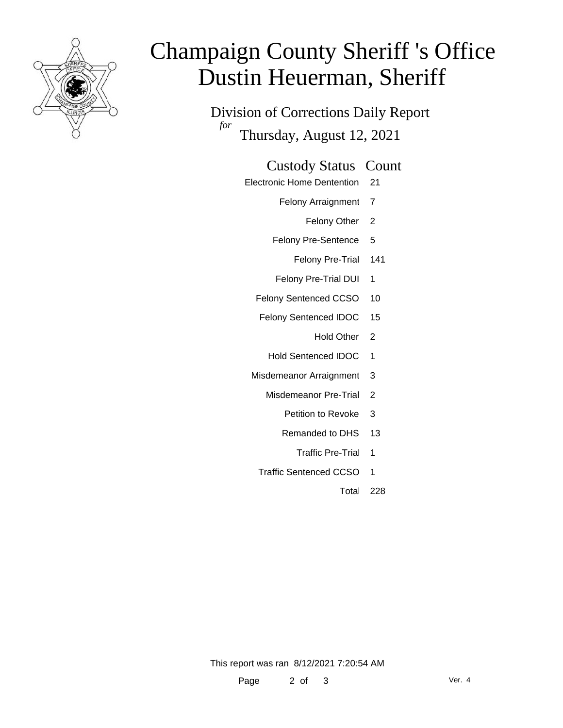

# Champaign County Sheriff 's Office Dustin Heuerman, Sheriff

Division of Corrections Daily Report *for* Thursday, August 12, 2021

#### Custody Status Count

- Electronic Home Dentention 21
	- Felony Arraignment 7
		- Felony Other 2
	- Felony Pre-Sentence 5
		- Felony Pre-Trial 141
	- Felony Pre-Trial DUI 1
	- Felony Sentenced CCSO 10
	- Felony Sentenced IDOC 15
		- Hold Other 2
		- Hold Sentenced IDOC 1
	- Misdemeanor Arraignment 3
		- Misdemeanor Pre-Trial 2
			- Petition to Revoke 3
			- Remanded to DHS 13
				- Traffic Pre-Trial 1
		- Traffic Sentenced CCSO 1
			- Total 228

This report was ran 8/12/2021 7:20:54 AM